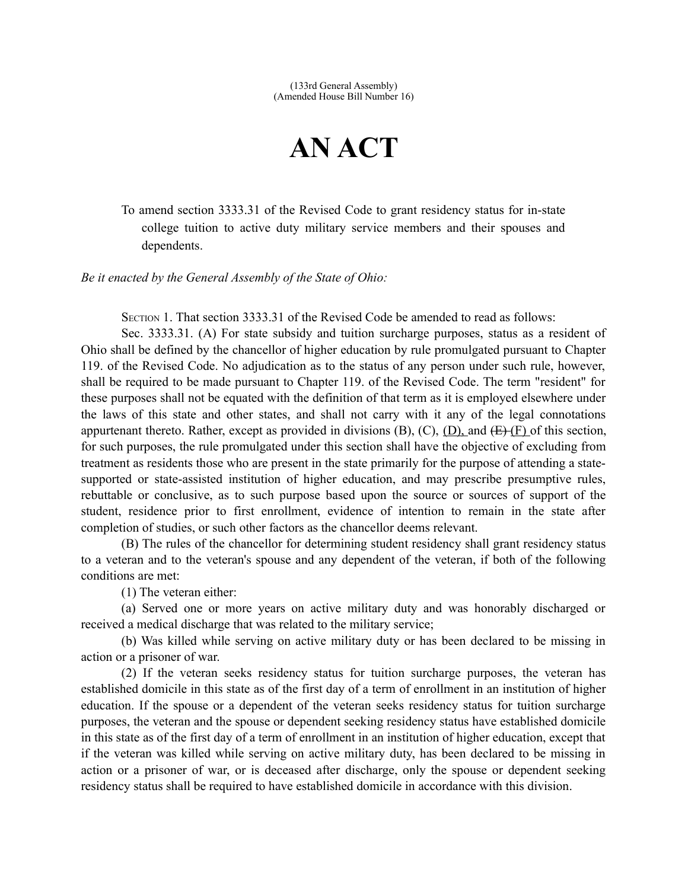## **AN ACT**

To amend section 3333.31 of the Revised Code to grant residency status for in-state college tuition to active duty military service members and their spouses and dependents.

*Be it enacted by the General Assembly of the State of Ohio:*

SECTION 1. That section 3333.31 of the Revised Code be amended to read as follows:

Sec. 3333.31. (A) For state subsidy and tuition surcharge purposes, status as a resident of Ohio shall be defined by the chancellor of higher education by rule promulgated pursuant to Chapter 119. of the Revised Code. No adjudication as to the status of any person under such rule, however, shall be required to be made pursuant to Chapter 119. of the Revised Code. The term "resident" for these purposes shall not be equated with the definition of that term as it is employed elsewhere under the laws of this state and other states, and shall not carry with it any of the legal connotations appurtenant thereto. Rather, except as provided in divisions  $(B)$ ,  $(C)$ ,  $(D)$ , and  $(E)$   $(F)$  of this section, for such purposes, the rule promulgated under this section shall have the objective of excluding from treatment as residents those who are present in the state primarily for the purpose of attending a statesupported or state-assisted institution of higher education, and may prescribe presumptive rules, rebuttable or conclusive, as to such purpose based upon the source or sources of support of the student, residence prior to first enrollment, evidence of intention to remain in the state after completion of studies, or such other factors as the chancellor deems relevant.

(B) The rules of the chancellor for determining student residency shall grant residency status to a veteran and to the veteran's spouse and any dependent of the veteran, if both of the following conditions are met:

(1) The veteran either:

(a) Served one or more years on active military duty and was honorably discharged or received a medical discharge that was related to the military service;

(b) Was killed while serving on active military duty or has been declared to be missing in action or a prisoner of war.

(2) If the veteran seeks residency status for tuition surcharge purposes, the veteran has established domicile in this state as of the first day of a term of enrollment in an institution of higher education. If the spouse or a dependent of the veteran seeks residency status for tuition surcharge purposes, the veteran and the spouse or dependent seeking residency status have established domicile in this state as of the first day of a term of enrollment in an institution of higher education, except that if the veteran was killed while serving on active military duty, has been declared to be missing in action or a prisoner of war, or is deceased after discharge, only the spouse or dependent seeking residency status shall be required to have established domicile in accordance with this division.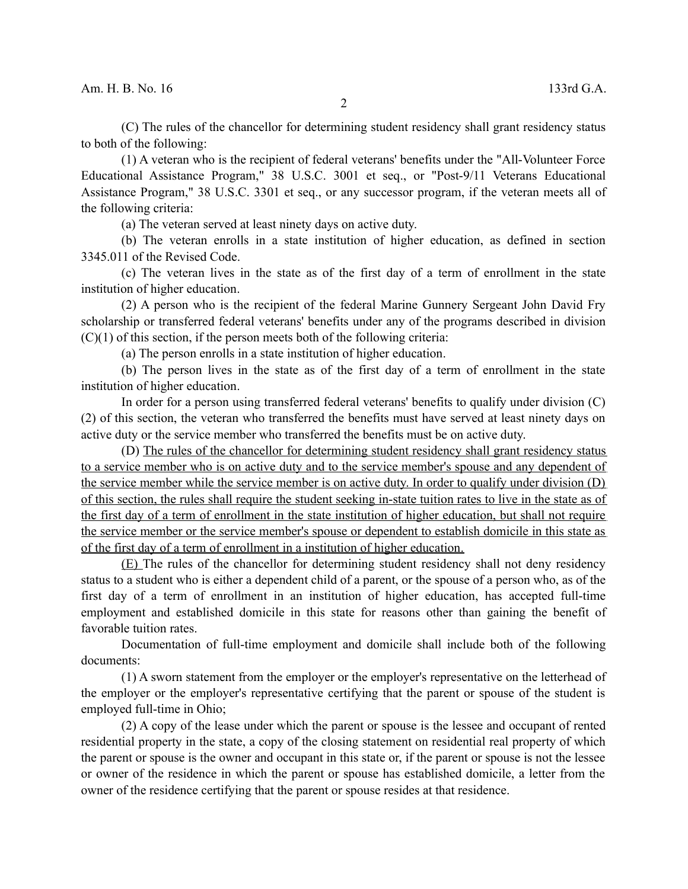(C) The rules of the chancellor for determining student residency shall grant residency status to both of the following:

(1) A veteran who is the recipient of federal veterans' benefits under the "All-Volunteer Force Educational Assistance Program," 38 U.S.C. 3001 et seq., or "Post-9/11 Veterans Educational Assistance Program," 38 U.S.C. 3301 et seq., or any successor program, if the veteran meets all of the following criteria:

(a) The veteran served at least ninety days on active duty.

(b) The veteran enrolls in a state institution of higher education, as defined in section 3345.011 of the Revised Code.

(c) The veteran lives in the state as of the first day of a term of enrollment in the state institution of higher education.

(2) A person who is the recipient of the federal Marine Gunnery Sergeant John David Fry scholarship or transferred federal veterans' benefits under any of the programs described in division  $(C)(1)$  of this section, if the person meets both of the following criteria:

(a) The person enrolls in a state institution of higher education.

(b) The person lives in the state as of the first day of a term of enrollment in the state institution of higher education.

In order for a person using transferred federal veterans' benefits to qualify under division (C) (2) of this section, the veteran who transferred the benefits must have served at least ninety days on active duty or the service member who transferred the benefits must be on active duty.

(D) The rules of the chancellor for determining student residency shall grant residency status to a service member who is on active duty and to the service member's spouse and any dependent of the service member while the service member is on active duty. In order to qualify under division (D) of this section, the rules shall require the student seeking in-state tuition rates to live in the state as of the first day of a term of enrollment in the state institution of higher education, but shall not require the service member or the service member's spouse or dependent to establish domicile in this state as of the first day of a term of enrollment in a institution of higher education.

(E) The rules of the chancellor for determining student residency shall not deny residency status to a student who is either a dependent child of a parent, or the spouse of a person who, as of the first day of a term of enrollment in an institution of higher education, has accepted full-time employment and established domicile in this state for reasons other than gaining the benefit of favorable tuition rates.

Documentation of full-time employment and domicile shall include both of the following documents:

(1) A sworn statement from the employer or the employer's representative on the letterhead of the employer or the employer's representative certifying that the parent or spouse of the student is employed full-time in Ohio;

(2) A copy of the lease under which the parent or spouse is the lessee and occupant of rented residential property in the state, a copy of the closing statement on residential real property of which the parent or spouse is the owner and occupant in this state or, if the parent or spouse is not the lessee or owner of the residence in which the parent or spouse has established domicile, a letter from the owner of the residence certifying that the parent or spouse resides at that residence.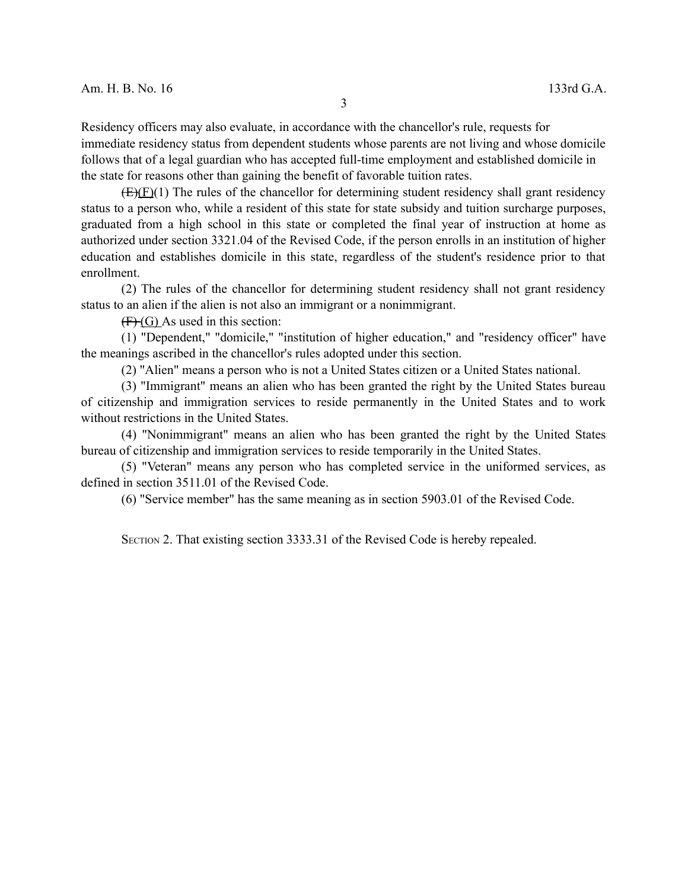Residency officers may also evaluate, in accordance with the chancellor's rule, requests for immediate residency status from dependent students whose parents are not living and whose domicile follows that of a legal guardian who has accepted full-time employment and established domicile in the state for reasons other than gaining the benefit of favorable tuition rates.

 $(E)(F)(1)$  The rules of the chancellor for determining student residency shall grant residency status to a person who, while a resident of this state for state subsidy and tuition surcharge purposes, graduated from a high school in this state or completed the final year of instruction at home as authorized under section 3321.04 of the Revised Code, if the person enrolls in an institution of higher education and establishes domicile in this state, regardless of the student's residence prior to that enrollment.

(2) The rules of the chancellor for determining student residency shall not grant residency status to an alien if the alien is not also an immigrant or a nonimmigrant.

 $(F)(G)$  As used in this section:

(1) "Dependent," "domicile," "institution of higher education," and "residency officer" have the meanings ascribed in the chancellor's rules adopted under this section.

(2) "Alien" means a person who is not a United States citizen or a United States national.

(3) "Immigrant" means an alien who has been granted the right by the United States bureau of citizenship and immigration services to reside permanently in the United States and to work without restrictions in the United States.

(4) "Nonimmigrant" means an alien who has been granted the right by the United States bureau of citizenship and immigration services to reside temporarily in the United States.

(5) "Veteran" means any person who has completed service in the uniformed services, as defined in section 3511.01 of the Revised Code.

(6) "Service member" has the same meaning as in section 5903.01 of the Revised Code.

SECTION 2. That existing section 3333.31 of the Revised Code is hereby repealed.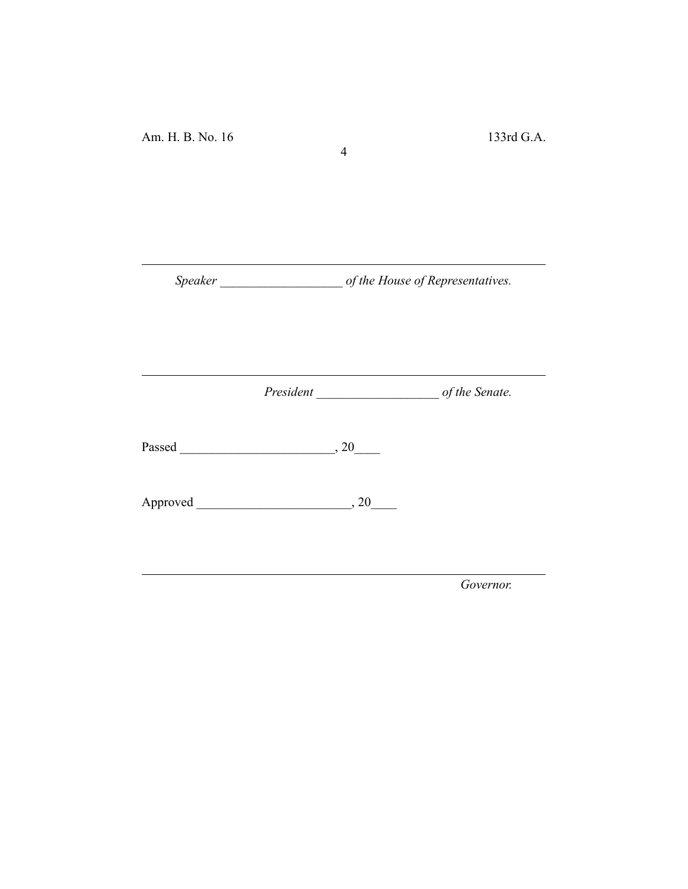*Speaker \_\_\_\_\_\_\_\_\_\_\_\_\_\_\_\_\_\_\_ of the House of Representatives.*

4

*President \_\_\_\_\_\_\_\_\_\_\_\_\_\_\_\_\_\_\_ of the Senate.*

Passed \_\_\_\_\_\_\_\_\_\_\_\_\_\_\_\_\_\_\_\_\_\_\_\_, 20\_\_\_\_

Approved \_\_\_\_\_\_\_\_\_\_\_\_\_\_\_\_\_\_\_\_\_\_\_\_, 20\_\_\_\_

*Governor.*